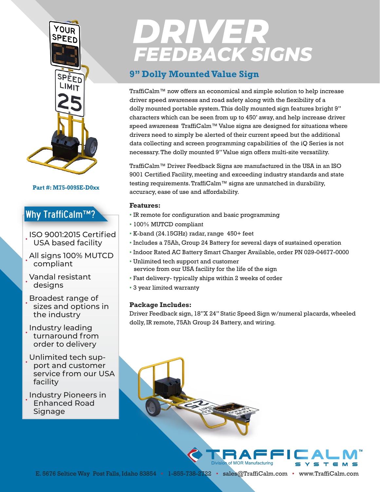

### **Part #: M75-009SE-D0xx**

## Why TraffiCalm™?

- ISO 9001:2015 Certified USA based facility
- All signs 100% MUTCD compliant
- Vandal resistant designs
- Broadest range of sizes and options in the industry
- Industry leading turnaround from order to delivery
- Unlimited tech support and customer service from our USA facility

## • Industry Pioneers in Enhanced Road Signage

# **DRIVER<br>FEEDBACK SIGNS**

## **9" Dolly Mounted Value Sign**

TraffiCalm™ now offers an economical and simple solution to help increase driver speed awareness and road safety along with the flexibility of a dolly mounted portable system. This dolly mounted sign features bright 9" characters which can be seen from up to 450' away, and help increase driver speed awareness TraffiCalm™ Value signs are designed for situations where drivers need to simply be alerted of their current speed but the additional data collecting and screen programming capabilities of the iQ Series is not necessary. The dolly mounted 9" Value sign offers multi-site versatility.

TraffiCalm™ Driver Feedback Signs are manufactured in the USA in an ISO 9001 Certified Facility, meeting and exceeding industry standards and state testing requirements. TraffiCalm™ signs are unmatched in durability, accuracy, ease of use and affordability.

### **Features:**

- IR remote for configuration and basic programming
- 100% MUTCD compliant
- K-band (24.15GHz) radar, range 450+ feet
- Includes a 75Ah, Group 24 Battery for several days of sustained operation
- Indoor Rated AC Battery Smart Charger Available, order PN 029-04677-0000
- Unlimited tech support and customer service from our USA facility for the life of the sign
- Fast delivery- typically ships within 2 weeks of order
- 3 year limited warranty

## **Package Includes:**

Driver Feedback sign, 18"X 24" Static Speed Sign w/numeral placards, wheeled dolly, IR remote, 75Ah Group 24 Battery, and wiring.